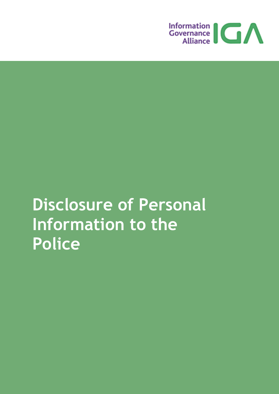

# **Disclosure of Personal Information to the Police**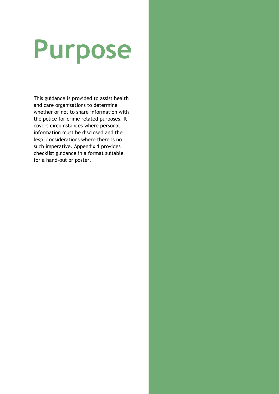# **Purpose**

This guidance is provided to assist health and care organisations to determine whether or not to share information with the police for crime related purposes. It covers circumstances where personal information must be disclosed and the legal considerations where there is no such imperative. Appendix 1 provides checklist guidance in a format suitable for a hand-out or poster.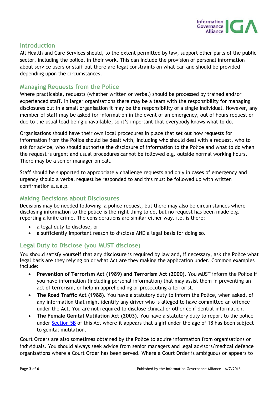

#### **Introduction**

All Health and Care Services should, to the extent permitted by law, support other parts of the public sector, including the police, in their work. This can include the provision of personal information about service users or staff but there are legal constraints on what can and should be provided depending upon the circumstances.

#### **Managing Requests from the Police**

Where practicable, requests (whether written or verbal) should be processed by trained and/or experienced staff. In larger organisations there may be a team with the responsibility for managing disclosures but in a small organisation it may be the responsibility of a single individual. However, any member of staff may be asked for information in the event of an emergency, out of hours request or due to the usual lead being unavailable, so it's important that everybody knows what to do.

Organisations should have their own local procedures in place that set out how requests for information from the Police should be dealt with, including who should deal with a request, who to ask for advice, who should authorise the disclosure of information to the Police and what to do when the request is urgent and usual procedures cannot be followed e.g. outside normal working hours. There may be a senior manager on call.

Staff should be supported to appropriately challenge requests and only in cases of emergency and urgency should a verbal request be responded to and this must be followed up with written confirmation a.s.a.p.

#### **Making Decisions about Disclosures**

Decisions may be needed following a police request, but there may also be circumstances where disclosing information to the police is the right thing to do, but no request has been made e.g. reporting a knife crime. The considerations are similar either way, i.e. is there:

- a legal duty to disclose, or
- a sufficiently important reason to disclose AND a legal basis for doing so.

## **Legal Duty to Disclose (you MUST disclose)**

You should satisfy yourself that any disclosure is required by law and, if necessary, ask the Police what legal basis are they relying on or what Act are they making the application under. Common examples include:

- **Prevention of Terrorism Act (1989) and Terrorism Act (2000).** You MUST inform the Police if you have information (including personal information) that may assist them in preventing an act of terrorism, or help in apprehending or prosecuting a terrorist.
- **The Road Traffic Act (1988).** You have a statutory duty to inform the Police, when asked, of any information that might identify any driver who is alleged to have committed an offence under the Act. You are not required to disclose clinical or other confidential information.
- **The Female Genital Mutilation Act (2003).** You have a statutory duty to report to the police under [Section 5B](http://www.legislation.gov.uk/ukpga/2015/9/section/74) of this Act where it appears that a girl under the age of 18 has been subject to genital mutilation.

Court Orders are also sometimes obtained by the Police to aquire information from organisations or individuals. You should always seek advice from senior managers and legal advisors/medical defence organisations where a Court Order has been served. Where a Court Order is ambiguous or appears to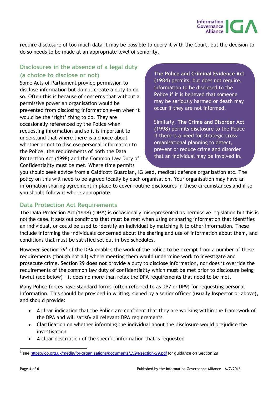

require disclosure of too much data it may be possible to query it with the Court, but the decision to do so needs to be made at an appropriate level of seniority.

# **Disclosures in the absence of a legal duty (a choice to disclose or not)**

Some Acts of Parliament provide permission to disclose information but do not create a duty to do so. Often this is because of concerns that without a permissive power an organisation would be prevented from disclosing information even when it would be the 'right' thing to do. They are occasionally referenced by the Police when requesting information and so it is important to understand that where there is a choice about whether or not to disclose personal information to the Police, the requirements of both the Data Protection Act (1998) and the Common Law Duty of Confidentiality must be met. Where time permits

**The Police and Criminal Evidence Act (1984)** permits, but does not require, information to be disclosed to the Police if it is believed that someone may be seriously harmed or death may occur if they are not informed.

Similarly, **The Crime and Disorder Act (1998)** permits disclosure to the Police if there is a need for strategic crossorganisational planning to detect, prevent or reduce crime and disorder that an individual may be involved in.

you should seek advice from a Caldicott Guardian, IG lead, medical defence organisation etc. The policy on this will need to be agreed locally by each organisation. Your organisation may have an information sharing agreement in place to cover routine disclosures in these circumstances and if so you should follow it where appropriate.

# **Data Protection Act Requirements**

The Data Protection Act (1998) (DPA) is occasionally misrepresented as permissive legislation but this is not the case. It sets out conditions that must be met when using or sharing information that identifies an individual, or could be used to identify an individual by matching it to other information. These include informing the individuals concerned about the sharing and use of information about them, and conditions that must be satisfied set out in two schedules.

However Section 29<sup>1</sup> of the DPA enables the work of the police to be exempt from a number of these requirements (though not all) where meeting them would undermine work to investigate and prosecute crime. Section 29 **does not** provide a duty to disclose information, nor does it override the requirements of the common law duty of confidentiality which must be met prior to disclosure being lawful (see below) – it does no more than relax the DPA requirements that need to be met.

Many Police forces have standard forms (often referred to as DP7 or DP9) for requesting personal information. This should be provided in writing, signed by a senior officer (usually Inspector or above), and should provide:

- A clear indication that the Police are confident that they are working within the framework of the DPA and will satisfy all relevant DPA requirements
- Clarification on whether informing the individual about the disclosure would prejudice the investigation
- A clear description of the specific information that is requested

 $\overline{a}$ <sup>1</sup> se[e https://ico.org.uk/media/for-organisations/documents/1594/section-29.pdf](https://ico.org.uk/media/for-organisations/documents/1594/section-29.pdf) for guidance on Section 29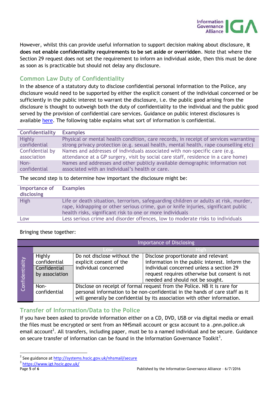

However, whilst this can provide useful information to support decision making about disclosure, **it does not enable confidentiality requirements to be set aside or overridden**. Note that where the Section 29 request does not set the requirement to inform an individual aside, then this must be done as soon as is practicable but should not delay any disclosure.

# **Common Law Duty of Confidentiality**

In the absence of a statutory duty to disclose confidential personal information to the Police, any disclosure would need to be supported by either the explicit consent of the individual concerned or be sufficiently in the public interest to warrant the disclosure, i.e. the public good arising from the disclosure is thought to outweigh both the duty of confidentiality to the individual and the public good served by the provision of confidential care services. Guidance on public interest disclosures is available [here.](https://www.gov.uk/government/uploads/system/uploads/attachment_data/file/216476/dh_122031.pdf) The following table explains what sort of information is confidential.

| Confidentiality | <b>Examples</b>                                                                      |
|-----------------|--------------------------------------------------------------------------------------|
| Highly          | Physical or mental health condition, care records, in receipt of services warranting |
| confidential    | strong privacy protection (e.g. sexual health, mental health, rape counselling etc)  |
| Confidential by | Names and addresses of individuals associated with non-specific care (e.g.           |
| association     | attendance at a GP surgery, visit by social care staff, residence in a care home)    |
| Non-            | Names and addresses and other publicly available demographic information not         |
| confidential    | associated with an individual's health or care.                                      |

The second step is to determine how important the disclosure might be:

| Importance of<br>disclosing | <b>Examples</b>                                                                                                                                                                                                                         |
|-----------------------------|-----------------------------------------------------------------------------------------------------------------------------------------------------------------------------------------------------------------------------------------|
| <b>High</b>                 | Life or death situation, terrorism, safeguarding children or adults at risk, murder,<br>rape, kidnapping or other serious crime, gun or knife injuries, significant public<br>health risks, significant risk to one or more individuals |
| Low                         | Less serious crime and disorder offences, low to moderate risks to individuals                                                                                                                                                          |

#### Bringing these together:

|             | Importance of Disclosing |                                                                              |                                                |  |
|-------------|--------------------------|------------------------------------------------------------------------------|------------------------------------------------|--|
|             |                          | <b>OW</b>                                                                    |                                                |  |
|             | Highly                   | Do not disclose without the                                                  | Disclose proportionate and relevant            |  |
| lity        | confidential             | explicit consent of the                                                      | information in the public interest. Inform the |  |
| $ \vec{E} $ | Confidential             | individual concerned                                                         | individual concerned unless a section 29       |  |
| iden        | by association           |                                                                              | request requires otherwise but consent is not  |  |
|             |                          |                                                                              | needed and should not be sought.               |  |
| <b>TE</b>   | Non-                     | Disclose on receipt of formal request from the Police. NB it is rare for     |                                                |  |
|             | confidential             | personal information to be non-confidential in the hands of care staff as it |                                                |  |
|             |                          | will generally be confidential by its association with other information.    |                                                |  |

## **Transfer of Information/Data to the Police**

If you have been asked to provide information either on a CD, DVD, USB or via digital media or email the files must be encrypted or sent from an NHSmail account or gcsx account to a .pnn.police.uk email account<sup>2</sup>. All transfers, including paper, must be to a named individual and be secure. Guidance on secure transfer of information can be found in the Information Governance Toolkit<sup>3</sup>.

 $\ddot{\phantom{a}}$ 

<sup>&</sup>lt;sup>2</sup> See guidance at<http://systems.hscic.gov.uk/nhsmail/secure>

<sup>&</sup>lt;sup>3</sup> <https://www.igt.hscic.gov.uk/>